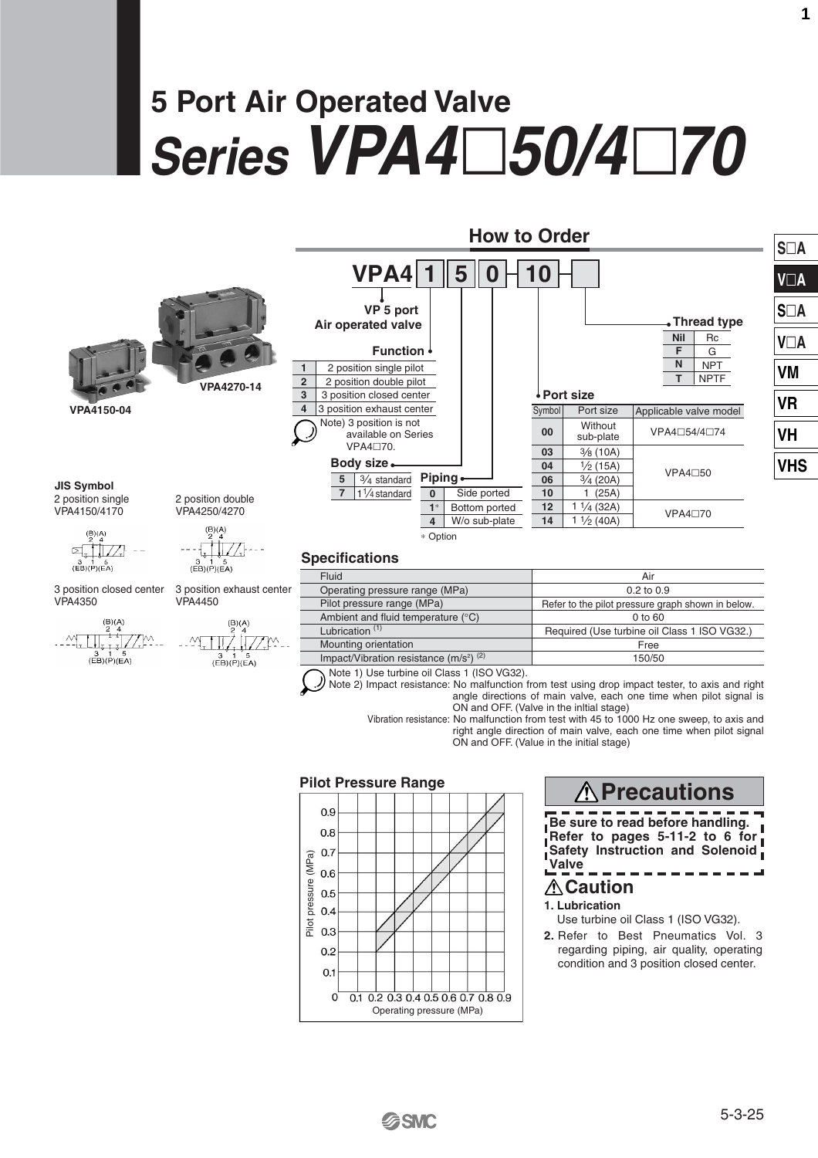# **5 Port Air Operated Valve Series VPA450/470**



**2.** Refer to Best Pneumatics Vol. 3 regarding piping, air quality, operating condition and 3 position closed center.

**SSMC** 

Operating pressure (MPa)

 $0.1$  0.2 0.3 0.4 0.5 0.6 0.7 0.8 0.9

 $02$  $0.1$  $\Omega$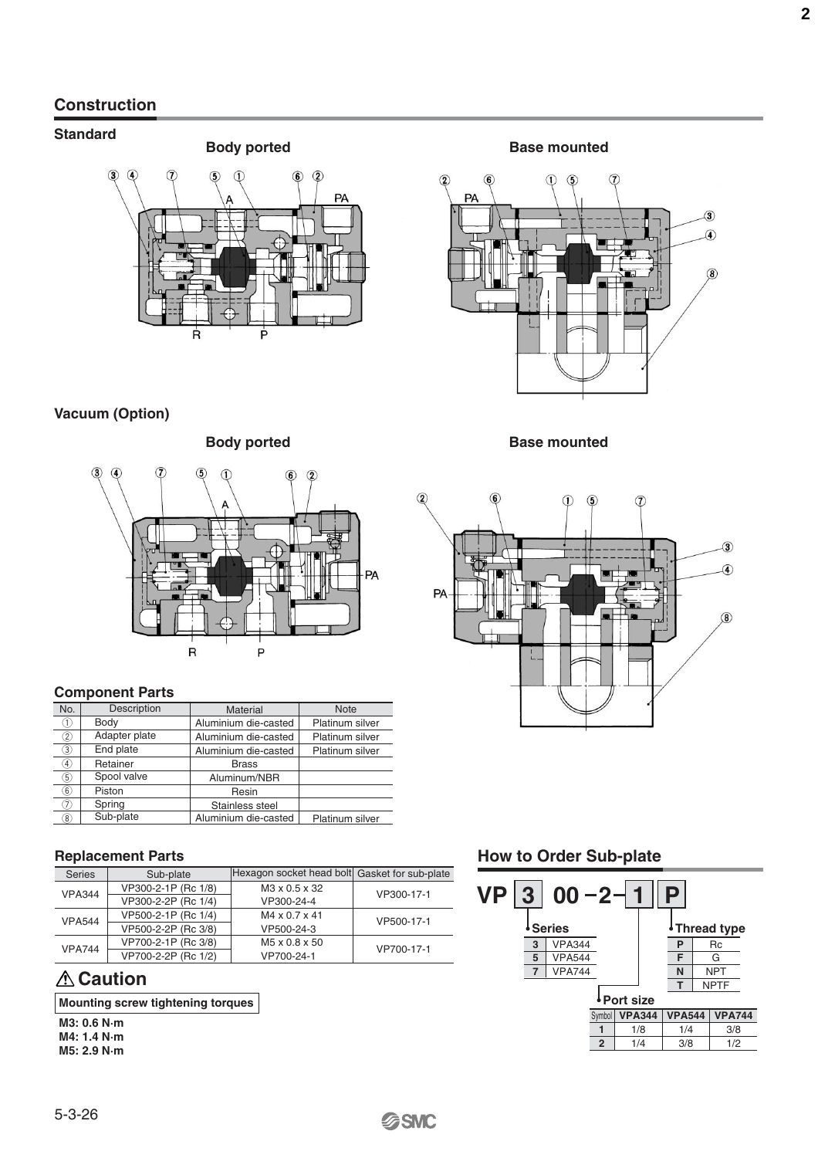## **Construction**

## **Standard**



**Vacuum (Option)**



#### **Component Parts**

| No.               | Description   | Material             | <b>Note</b>     |
|-------------------|---------------|----------------------|-----------------|
| (1)               | Body          | Aluminium die-casted | Platinum silver |
| $\circled{2}$     | Adapter plate | Aluminium die-casted | Platinum silver |
| 3)                | End plate     | Aluminium die-casted | Platinum silver |
| $\left( 4\right)$ | Retainer      | <b>Brass</b>         |                 |
| 5)                | Spool valve   | Aluminum/NBR         |                 |
| $\epsilon$        | Piston        | Resin                |                 |
| T.                | Spring        | Stainless steel      |                 |
| $\left( 8\right)$ | Sub-plate     | Aluminium die-casted | Platinum silver |

#### **Replacement Parts**

| <b>Series</b> | Sub-plate           | Hexagon socket head bolt Gasket for sub-plate |            |  |
|---------------|---------------------|-----------------------------------------------|------------|--|
| <b>VPA344</b> | VP300-2-1P (Rc 1/8) | M3 x 0.5 x 32                                 | VP300-17-1 |  |
|               | VP300-2-2P (Rc 1/4) | VP300-24-4                                    |            |  |
| <b>VPA544</b> | VP500-2-1P (Rc 1/4) | M4 x 0.7 x 41                                 | VP500-17-1 |  |
|               | VP500-2-2P (Rc 3/8) | VP500-24-3                                    |            |  |
| <b>VPA744</b> | VP700-2-1P (Rc 3/8) | M <sub>5</sub> x 0.8 x 50                     | VP700-17-1 |  |
|               | VP700-2-2P (Rc 1/2) | VP700-24-1                                    |            |  |

# **Caution**

| <b>Mounting screw tightening torques</b> |  |  |  |  |
|------------------------------------------|--|--|--|--|
|------------------------------------------|--|--|--|--|

**M3: 0.6 N·m M4: 1.4 N·m M5: 2.9 N·m**



**Body ported Base mounted** 



# **How to Order Sub-plate**

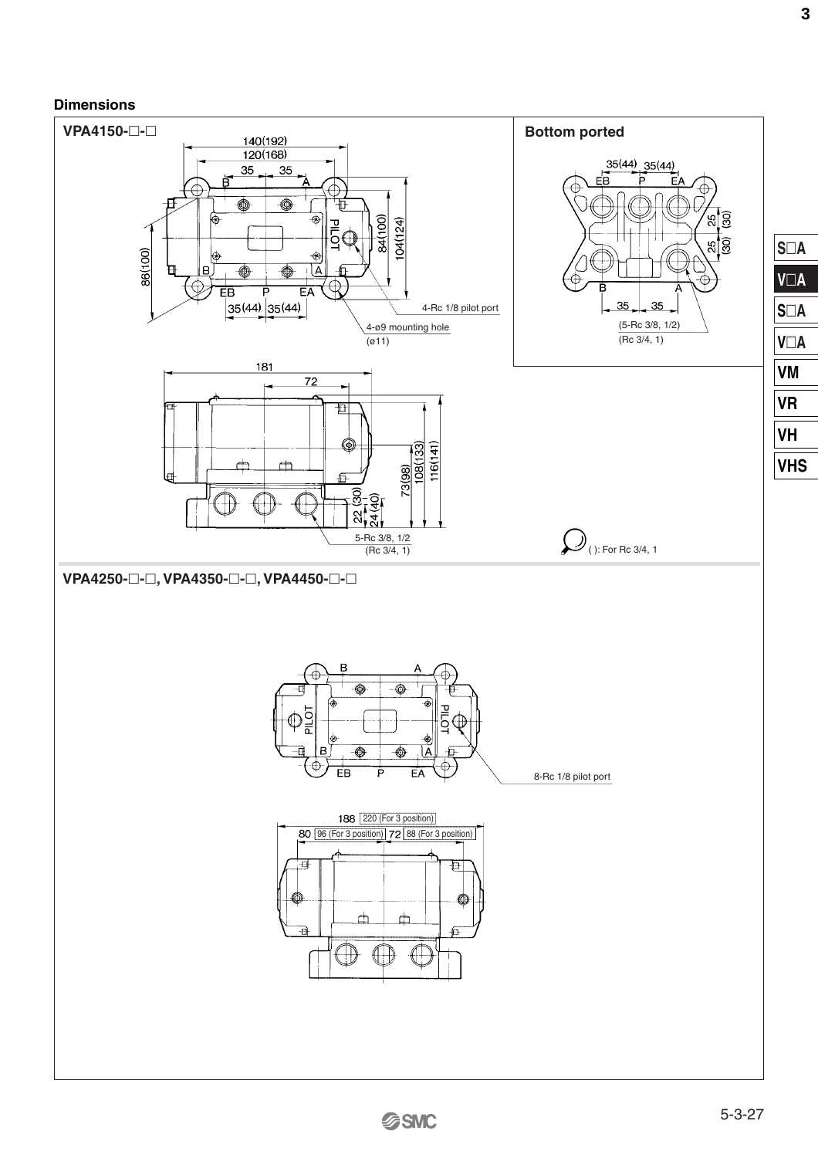#### **Dimensions**



5-3-27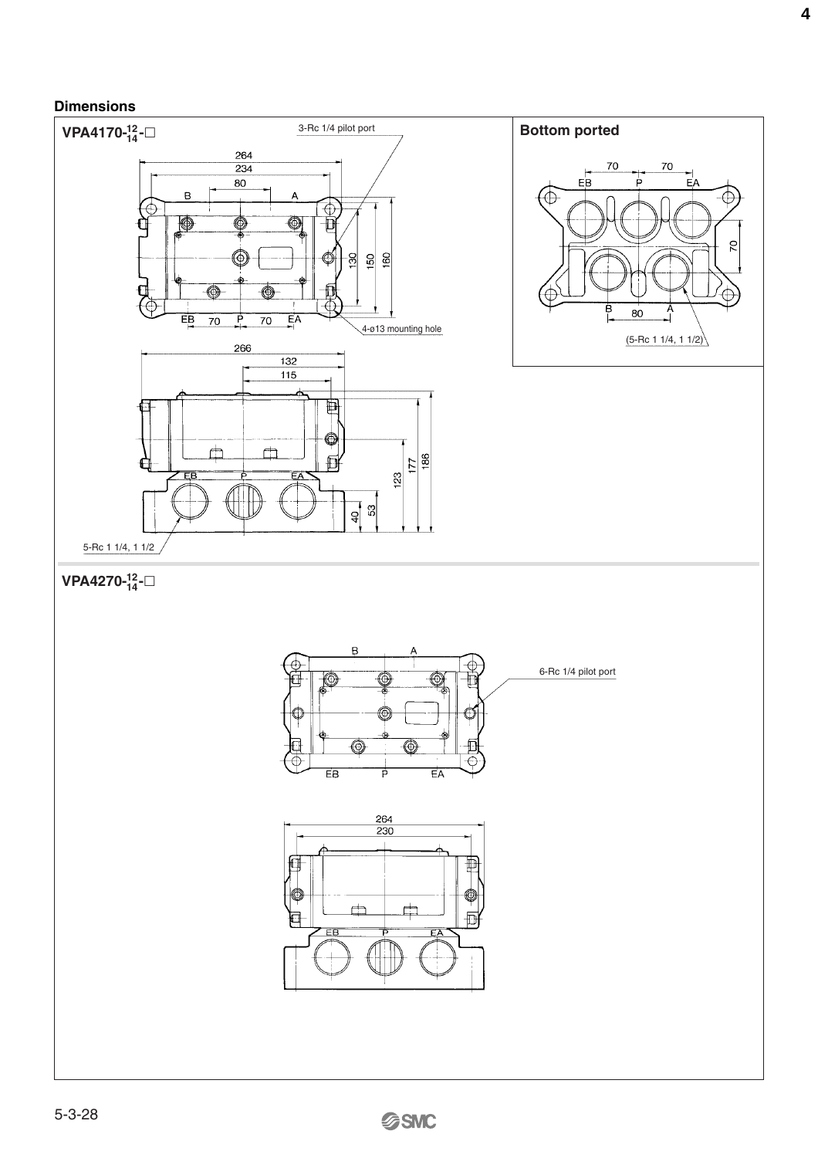#### **Dimensions**



**4**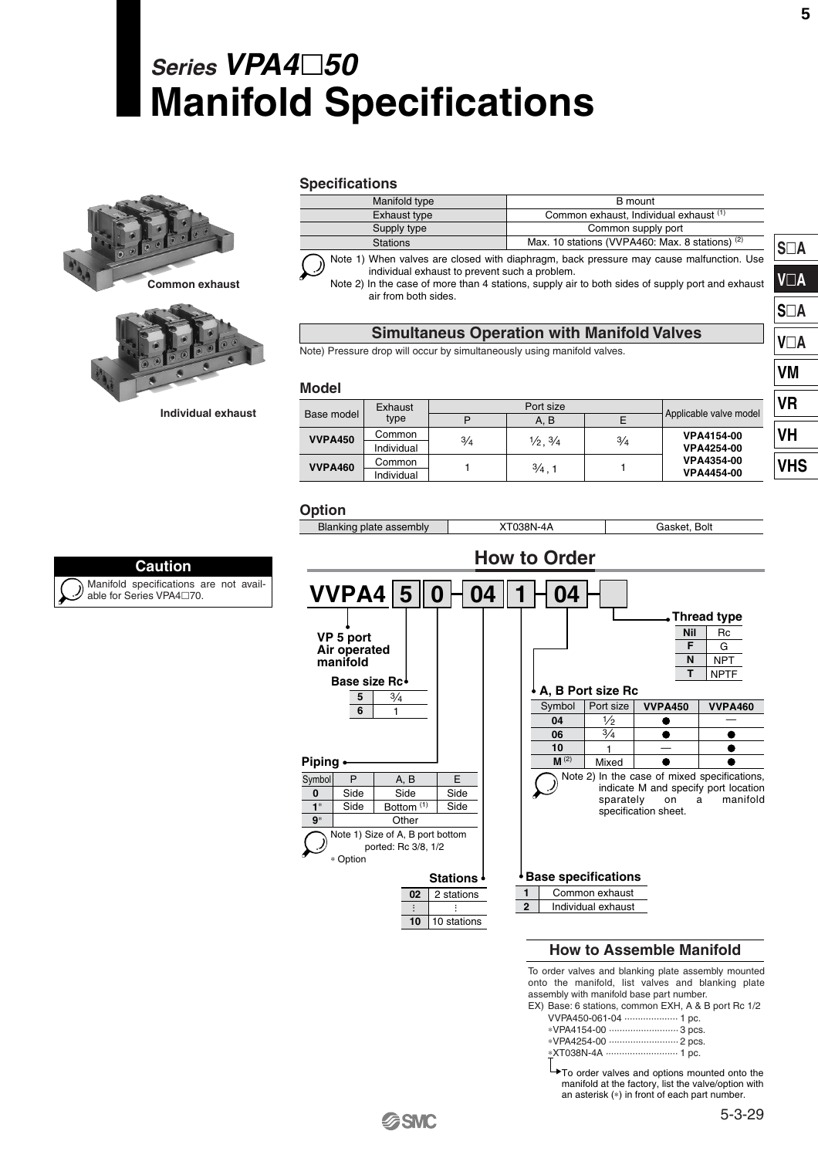# **Series VPA450 Manifold Specifications**



**Individual exhaust**

Manifold specifications are not avail-

**Caution**

able for Series VPA4□70.

))

**Specifications**

| -------------                                                                                                                                                                                                                                                        |                                        |  |  |  |
|----------------------------------------------------------------------------------------------------------------------------------------------------------------------------------------------------------------------------------------------------------------------|----------------------------------------|--|--|--|
| Manifold type                                                                                                                                                                                                                                                        | B mount                                |  |  |  |
| Exhaust type                                                                                                                                                                                                                                                         | Common exhaust, Individual exhaust (1) |  |  |  |
| Supply type                                                                                                                                                                                                                                                          | Common supply port                     |  |  |  |
| Max. 10 stations (VVPA460: Max. 8 stations) (2)<br><b>Stations</b>                                                                                                                                                                                                   |                                        |  |  |  |
| Note 1) When valves are closed with diaphragm, back pressure may cause malfunction. Use<br>individual exhaust to prevent such a problem.<br>Note 2) In the case of more than 4 stations, supply air to both sides of supply port and exhaust<br>air from both sides. |                                        |  |  |  |

#### **Simultaneus Operation with Manifold Valves**

Note) Pressure drop will occur by simultaneously using manifold valves.

#### **Model**

|                | Exhaust    |               |                               |     |                        |
|----------------|------------|---------------|-------------------------------|-----|------------------------|
| Base model     | type       | P             | A, B                          |     | Applicable valve model |
| <b>VVPA450</b> | Common     | $\frac{3}{4}$ | $\frac{1}{2}$ , $\frac{3}{4}$ | 3/4 | VPA4154-00             |
|                | Individual |               |                               |     | <b>VPA4254-00</b>      |
| <b>VVPA460</b> | Common     |               |                               |     | VPA4354-00             |
|                | Individual |               | $\frac{3}{4}$ . 1             |     | <b>VPA4454-00</b>      |

|                            |                                       | Blanking plate assembly                                 |                   | XT038N-4A<br>Gasket, Bolt      |                |                               |                                                                                                       |
|----------------------------|---------------------------------------|---------------------------------------------------------|-------------------|--------------------------------|----------------|-------------------------------|-------------------------------------------------------------------------------------------------------|
|                            |                                       |                                                         |                   | <b>How to Order</b>            |                |                               |                                                                                                       |
|                            |                                       | VVPA4 5<br>0                                            | 04                | 04                             |                |                               |                                                                                                       |
|                            | VP 5 port<br>Air operated<br>manifold |                                                         |                   |                                |                | <b>Nil</b><br>F<br>N<br>т     | $\bullet$ Thread type<br>Rc<br>G<br><b>NPT</b>                                                        |
| Base size Rc+<br>3/4<br>5  |                                       |                                                         | Symbol            | A, B Port size Rc<br>Port size | <b>VVPA450</b> | <b>NPTF</b><br><b>VVPA460</b> |                                                                                                       |
|                            | 6                                     | 1                                                       |                   | 04                             | $\frac{1}{2}$  |                               |                                                                                                       |
|                            |                                       |                                                         |                   | 06                             | 3/4            |                               |                                                                                                       |
|                            |                                       |                                                         |                   | 10                             | 1              |                               |                                                                                                       |
| <b>Piping</b>              |                                       |                                                         |                   | $M^{(2)}$                      | Mixed          |                               |                                                                                                       |
| Symbol<br>$\bf{0}$<br>$1*$ | P<br>Side<br>Side                     | A, B<br>Side<br>Bottom <sup>(1)</sup>                   | F<br>Side<br>Side |                                | sparately      | on                            | Note 2) In the case of mixed specifications,<br>indicate M and specify port location<br>manifold<br>a |
| $9*$                       |                                       | Other                                                   |                   |                                |                | specification sheet.          |                                                                                                       |
|                            | * Option                              | Note 1) Size of A, B port bottom<br>ported: Rc 3/8, 1/2 |                   |                                |                |                               |                                                                                                       |
|                            |                                       |                                                         | <b>Stations</b>   | <b>Base specifications</b>     |                |                               |                                                                                                       |

**2 1**

| Stations • |             |  |  |  |  |
|------------|-------------|--|--|--|--|
| 02         | 2 stations  |  |  |  |  |
|            |             |  |  |  |  |
| 10         | 10 stations |  |  |  |  |

#### **How to Assemble Manifold**

Common exhaust

Individual exhaust

To order valves and blanking plate assembly mounted onto the manifold, list valves and blanking plate assembly with manifold base part number.

| EX) Base: 6 stations, common EXH, A & B port Rc 1/2 |  |
|-----------------------------------------------------|--|
| VVPA450-061-04  1 pc.                               |  |
|                                                     |  |
|                                                     |  |
| *XT038N-4A  1 pc.                                   |  |

 $T_{\rightarrow}$ To order valves and options mounted onto the manifold at the factory, list the valve/option with an asterisk (∗) in front of each part number.

**SA**

**VA**

**SA**

**VA**

**VM**

**VR**

**VH**

**VHS**